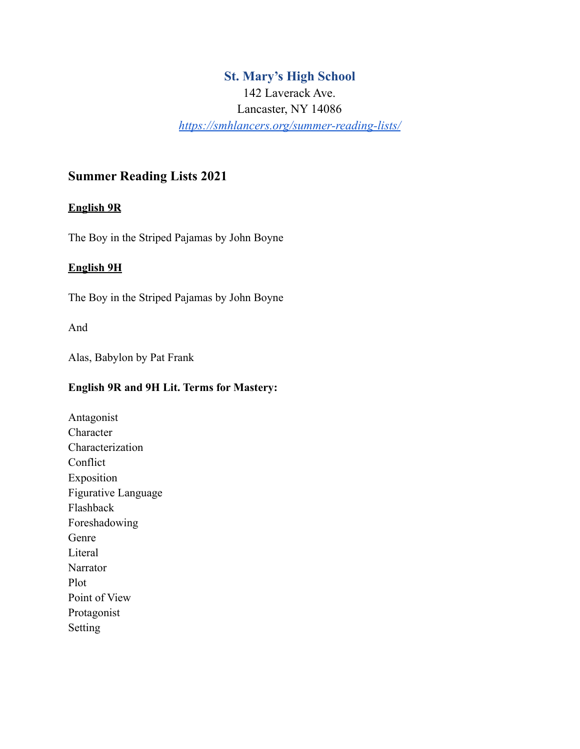## **St. Mary's High School**

142 Laverack Ave. Lancaster, NY 14086 *<https://smhlancers.org/summer-reading-lists/>*

# **Summer Reading Lists 2021**

#### **English 9R**

The Boy in the Striped Pajamas by John Boyne

#### **English 9H**

The Boy in the Striped Pajamas by John Boyne

And

Alas, Babylon by Pat Frank

## **English 9R and 9H Lit. Terms for Mastery:**

Antagonist Character Characterization Conflict Exposition Figurative Language Flashback Foreshadowing Genre Literal Narrator Plot Point of View Protagonist Setting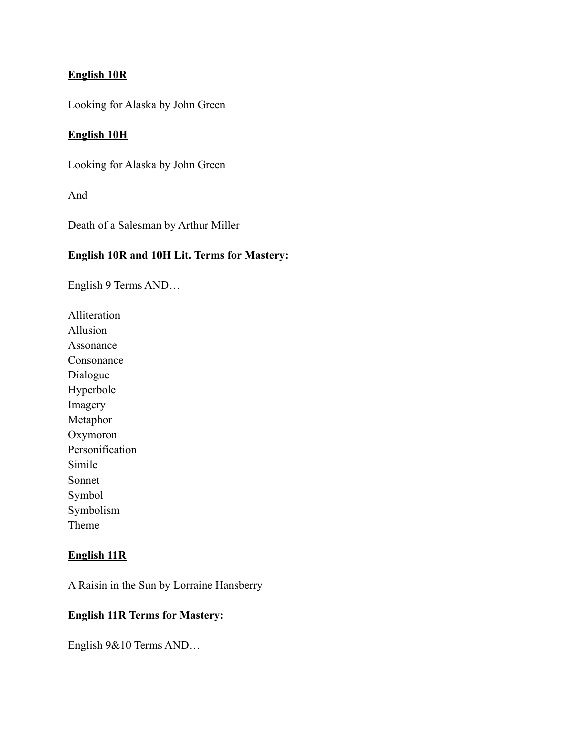## **English 10R**

Looking for Alaska by John Green

### **English 10H**

Looking for Alaska by John Green

And

Death of a Salesman by Arthur Miller

#### **English 10R and 10H Lit. Terms for Mastery:**

English 9 Terms AND…

Alliteration Allusion Assonance Consonance Dialogue Hyperbole Imagery Metaphor Oxymoron Personification Simile Sonnet Symbol Symbolism Theme

## **English 11R**

A Raisin in the Sun by Lorraine Hansberry

## **English 11R Terms for Mastery:**

English 9&10 Terms AND…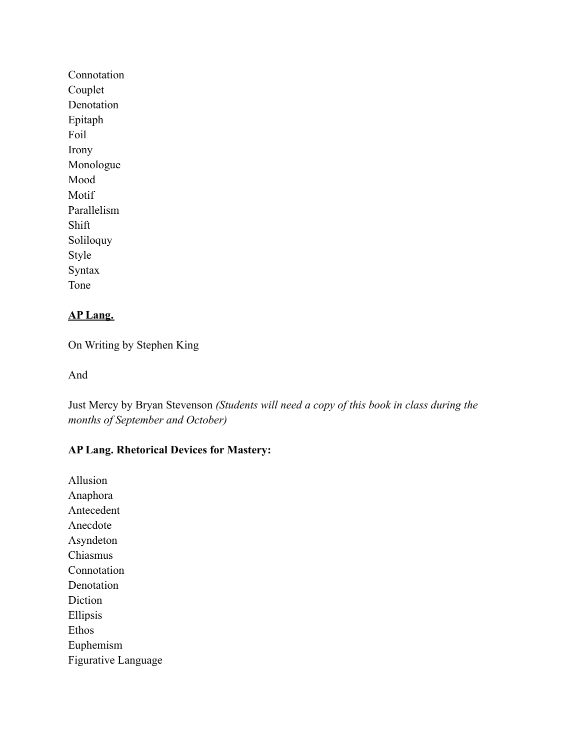Connotation Couplet Denotation Epitaph Foil Irony Monologue Mood Motif Parallelism Shift Soliloquy Style Syntax Tone

## **AP Lang.**

On Writing by Stephen King

And

Just Mercy by Bryan Stevenson *(Students will need a copy of this book in class during the months of September and October)*

## **AP Lang. Rhetorical Devices for Mastery:**

Allusion Anaphora Antecedent Anecdote Asyndeton Chiasmus Connotation Denotation Diction Ellipsis Ethos Euphemism Figurative Language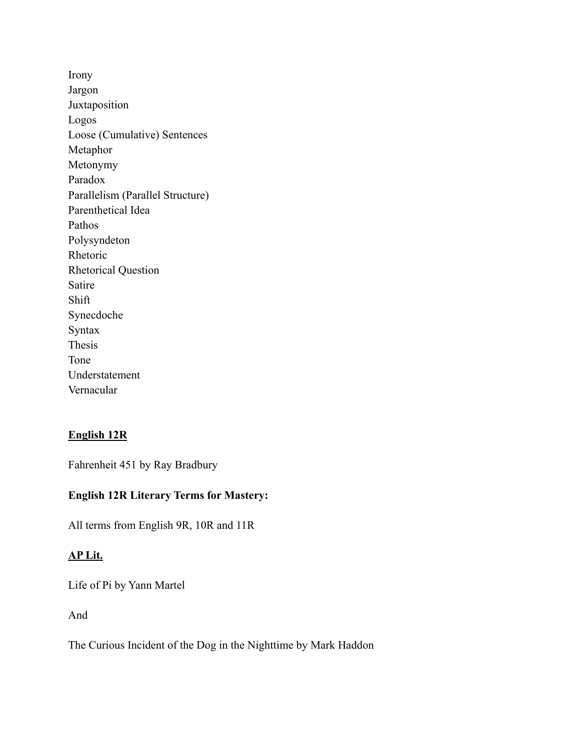Irony Jargon Juxtaposition Logos Loose (Cumulative) Sentences Metaphor Metonymy Paradox Parallelism (Parallel Structure) Parenthetical Idea Pathos Polysyndeton Rhetoric Rhetorical Question Satire Shift Synecdoche Syntax Thesis Tone Understatement Vernacular

#### **English 12R**

Fahrenheit 451 by Ray Bradbury

### **English 12R Literary Terms for Mastery:**

All terms from English 9R, 10R and 11R

#### **AP Lit.**

Life of Pi by Yann Martel

And

The Curious Incident of the Dog in the Nighttime by Mark Haddon